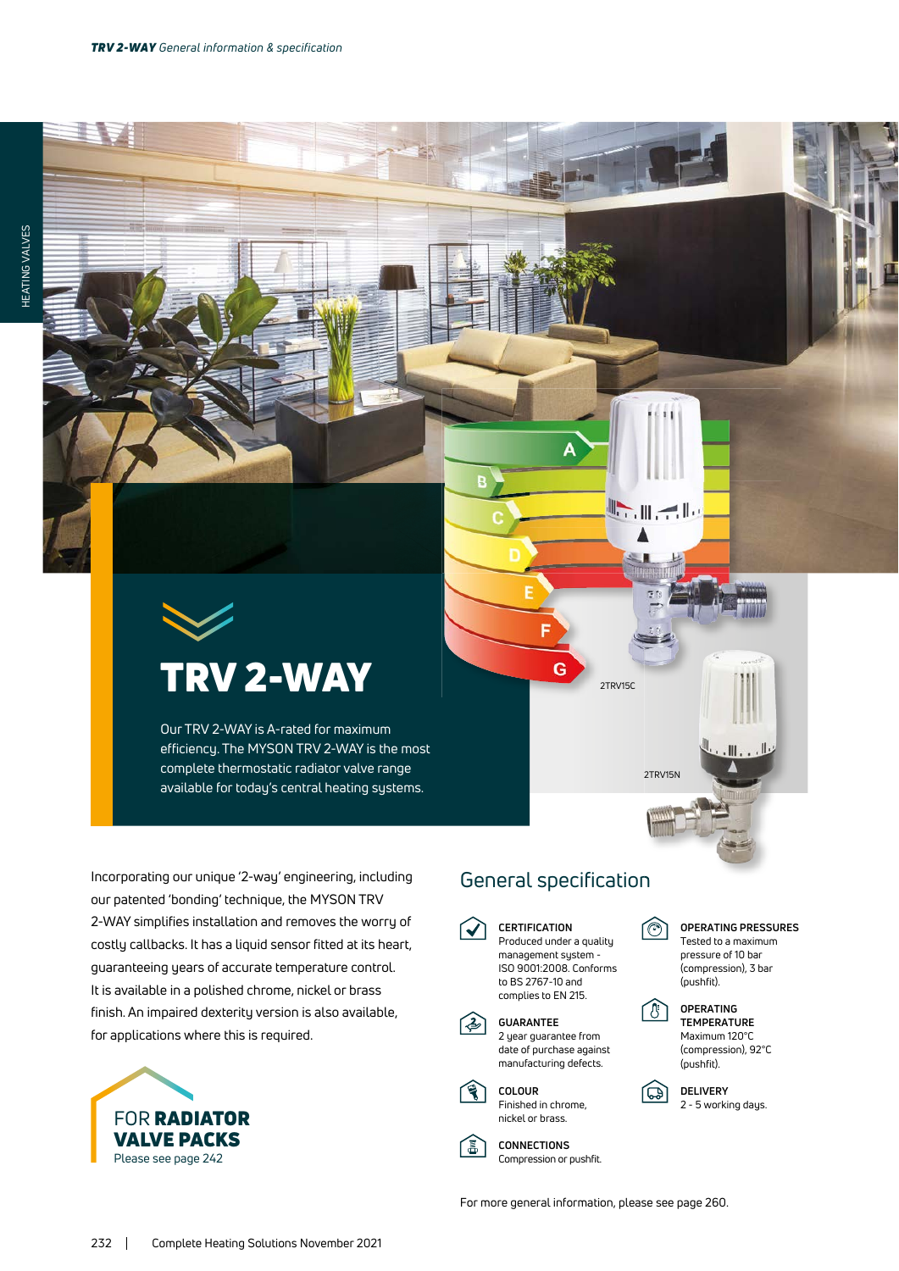# TRV 2-WAY

Our TRV 2-WAY is A-rated for maximum efficiency. The MYSON TRV 2-WAY is the most complete thermostatic radiator valve range available for today's central heating systems.

Incorporating our unique '2-way' engineering, including our patented 'bonding' technique, the MYSON TRV 2-WAY simplifies installation and removes the worry of costly callbacks. It has a liquid sensor fitted at its heart, guaranteeing years of accurate temperature control. It is available in a polished chrome, nickel or brass finish. An impaired dexterity version is also available, for applications where this is required.



## General specification

G

**CERTIFICATION** Produced under a quality

E







〔冨〕

**CONNECTIONS** Compression or pushfit.

manufacturing defects.

向

2TRV15N

 $\blacksquare$ 

2TRV15C



 $\mathbb{I}$  , , ,  $\mathbb{I}$ 



**DELIVERY** 2 - 5 working days.

For more general information, please see page 260.